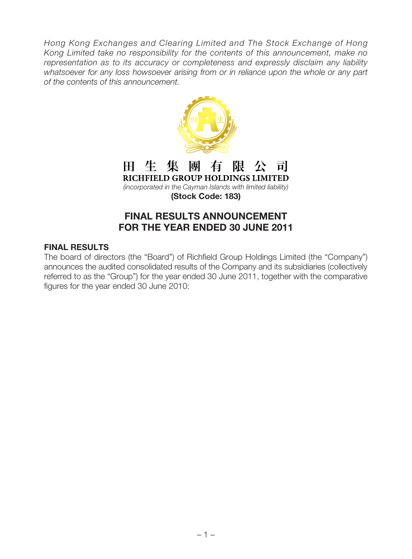*Hong Kong Exchanges and Clearing Limited and The Stock Exchange of Hong Kong Limited take no responsibility for the contents of this announcement, make no representation as to its accuracy or completeness and expressly disclaim any liability*  whatsoever for any loss howsoever arising from or in reliance upon the whole or any part *of the contents of this announcement.*



# FINAL RESULTS ANNOUNCEMENT FOR THE YEAR ENDED 30 JUNE 2011

### Final Results

The board of directors (the "Board") of Richfield Group Holdings Limited (the "Company") announces the audited consolidated results of the Company and its subsidiaries (collectively referred to as the "Group") for the year ended 30 June 2011, together with the comparative figures for the year ended 30 June 2010: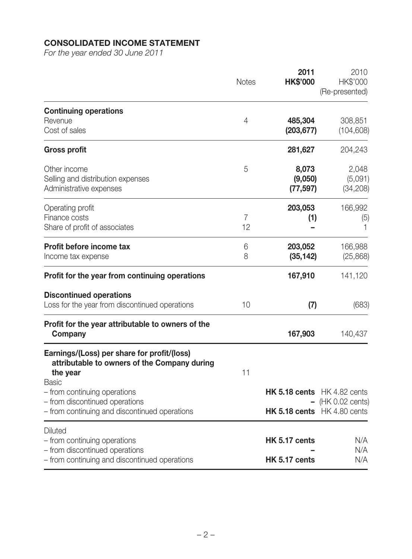# Consolidated income statement

*For the year ended 30 June 2011*

|                                                                                                                                                         | <b>Notes</b>         | 2011<br><b>HK\$'000</b>              | 2010<br>HK\$'000<br>(Re-presented) |
|---------------------------------------------------------------------------------------------------------------------------------------------------------|----------------------|--------------------------------------|------------------------------------|
| <b>Continuing operations</b><br>Revenue<br>Cost of sales                                                                                                | 4                    | 485,304<br>(203, 677)                | 308,851<br>(104, 608)              |
| <b>Gross profit</b>                                                                                                                                     |                      | 281,627                              | 204,243                            |
| Other income<br>Selling and distribution expenses<br>Administrative expenses                                                                            | 5                    | 8,073<br>(9,050)<br>(77, 597)        | 2,048<br>(5,091)<br>(34, 208)      |
| Operating profit<br>Finance costs<br>Share of profit of associates                                                                                      | $\overline{7}$<br>12 | 203,053<br>(1)                       | 166,992<br>(5)                     |
| Profit before income tax<br>Income tax expense                                                                                                          | 6<br>8               | 203,052<br>(35, 142)                 | 166,988<br>(25,868)                |
| Profit for the year from continuing operations                                                                                                          |                      | 167,910                              | 141,120                            |
| <b>Discontinued operations</b><br>Loss for the year from discontinued operations                                                                        | 10                   | (7)                                  | (683)                              |
| Profit for the year attributable to owners of the<br>Company                                                                                            |                      | 167,903                              | 140,437                            |
| Earnings/(Loss) per share for profit/(loss)<br>attributable to owners of the Company during<br>the year<br><b>Basic</b><br>- from continuing operations | 11                   | <b>HK 5.18 cents</b> $HK$ 4.82 cents |                                    |
| - from discontinued operations<br>- from continuing and discontinued operations                                                                         |                      | <b>HK 5.18 cents</b> HK 4.80 cents   | (HK 0.02 cents)                    |
| <b>Diluted</b><br>- from continuing operations<br>- from discontinued operations                                                                        |                      | <b>HK 5.17 cents</b>                 | N/A<br>N/A                         |
| - from continuing and discontinued operations                                                                                                           |                      | <b>HK 5.17 cents</b>                 | N/A                                |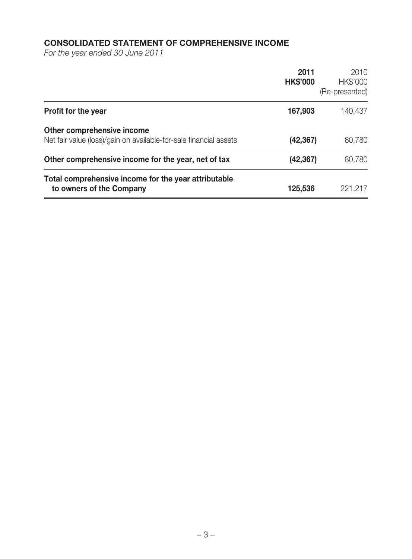# Consolidated statement of comprehensive income

*For the year ended 30 June 2011*

|                                                                                                 | 2011<br><b>HK\$'000</b> | 2010<br>HK\$'000<br>(Re-presented) |
|-------------------------------------------------------------------------------------------------|-------------------------|------------------------------------|
| <b>Profit for the year</b>                                                                      | 167,903                 | 140,437                            |
| Other comprehensive income<br>Net fair value (loss)/gain on available-for-sale financial assets | (42, 367)               | 80,780                             |
| Other comprehensive income for the year, net of tax                                             | (42, 367)               | 80,780                             |
| Total comprehensive income for the year attributable<br>to owners of the Company                | 125,536                 | 221,217                            |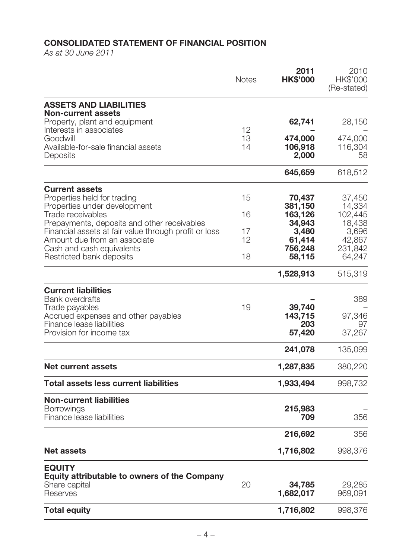# Consolidated statement of financial position

*As at 30 June 2011*

|                                                                                                                                                                        | <b>Notes</b> | 2011<br><b>HK\$'000</b>            | 2010<br>HK\$'000<br>(Re-stated) |
|------------------------------------------------------------------------------------------------------------------------------------------------------------------------|--------------|------------------------------------|---------------------------------|
| <b>ASSETS AND LIABILITIES</b>                                                                                                                                          |              |                                    |                                 |
| <b>Non-current assets</b><br>Property, plant and equipment                                                                                                             | 12           | 62,741                             | 28,150                          |
| Interests in associates<br>Goodwill<br>Available-for-sale financial assets<br>Deposits                                                                                 | 13<br>14     | 474,000<br>106,918<br>2,000        | 474,000<br>116,304<br>58        |
|                                                                                                                                                                        |              | 645,659                            | 618,512                         |
| <b>Current assets</b><br>Properties held for trading                                                                                                                   | 15           | 70,437                             | 37,450                          |
| Properties under development<br>Trade receivables                                                                                                                      | 16           | 381,150<br>163,126                 | 14,334<br>102,445               |
| Prepayments, deposits and other receivables<br>Financial assets at fair value through profit or loss<br>Amount due from an associate                                   | 17<br>12     | 34,943<br>3,480<br>61,414          | 18,438<br>3,696<br>42,867       |
| Cash and cash equivalents<br>Restricted bank deposits                                                                                                                  | 18           | 756,248<br>58,115                  | 231,842<br>64,247               |
|                                                                                                                                                                        |              | 1,528,913                          | 515,319                         |
| <b>Current liabilities</b><br><b>Bank overdrafts</b><br>Trade payables<br>Accrued expenses and other payables<br>Finance lease liabilities<br>Provision for income tax | 19           | 39,740<br>143,715<br>203<br>57,420 | 389<br>97,346<br>97<br>37,267   |
|                                                                                                                                                                        |              | 241,078                            | 135,099                         |
| <b>Net current assets</b>                                                                                                                                              |              | 1,287,835                          | 380,220                         |
| <b>Total assets less current liabilities</b>                                                                                                                           |              | 1,933,494                          | 998,732                         |
| <b>Non-current liabilities</b><br><b>Borrowings</b><br>Finance lease liabilities                                                                                       |              | 215,983<br>709                     | 356                             |
|                                                                                                                                                                        |              | 216,692                            | 356                             |
| <b>Net assets</b>                                                                                                                                                      |              | 1,716,802                          | 998,376                         |
| <b>EQUITY</b><br><b>Equity attributable to owners of the Company</b><br>Share capital<br>Reserves                                                                      | 20           | 34,785<br>1,682,017                | 29,285<br>969,091               |
| <b>Total equity</b>                                                                                                                                                    |              | 1,716,802                          | 998,376                         |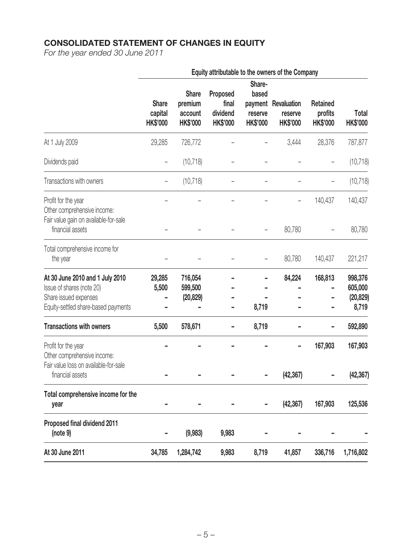# Consolidated statement of changes in equity

*For the year ended 30 June 2011*

|                                                                                                                              |                                            |                                                       |                                                  |                                                          | Equity attributable to the owners of the Company |                                               |                                          |
|------------------------------------------------------------------------------------------------------------------------------|--------------------------------------------|-------------------------------------------------------|--------------------------------------------------|----------------------------------------------------------|--------------------------------------------------|-----------------------------------------------|------------------------------------------|
|                                                                                                                              | <b>Share</b><br>capital<br><b>HK\$'000</b> | <b>Share</b><br>premium<br>account<br><b>HK\$'000</b> | Proposed<br>final<br>dividend<br><b>HK\$'000</b> | Share-<br>based<br>payment<br>reserve<br><b>HK\$'000</b> | Revaluation<br>reserve<br><b>HK\$'000</b>        | <b>Retained</b><br>profits<br><b>HK\$'000</b> | <b>Total</b><br><b>HK\$'000</b>          |
| At 1 July 2009                                                                                                               | 29,285                                     | 726,772                                               |                                                  |                                                          | 3,444                                            | 28,376                                        | 787,877                                  |
| Dividends paid                                                                                                               | $\qquad \qquad -$                          | (10, 718)                                             |                                                  |                                                          |                                                  |                                               | (10, 718)                                |
| Transactions with owners                                                                                                     |                                            | (10, 718)                                             |                                                  |                                                          |                                                  |                                               | (10, 718)                                |
| Profit for the year<br>Other comprehensive income:<br>Fair value gain on available-for-sale                                  |                                            |                                                       |                                                  |                                                          |                                                  | 140,437                                       | 140,437                                  |
| financial assets                                                                                                             |                                            |                                                       |                                                  |                                                          | 80,780                                           |                                               | 80,780                                   |
| Total comprehensive income for<br>the year                                                                                   |                                            |                                                       |                                                  |                                                          | 80,780                                           | 140,437                                       | 221,217                                  |
| At 30 June 2010 and 1 July 2010<br>Issue of shares (note 20)<br>Share issued expenses<br>Equity-settled share-based payments | 29,285<br>5,500                            | 716,054<br>599,500<br>(20, 829)                       |                                                  | 8,719                                                    | 84,224                                           | 168,813                                       | 998,376<br>605,000<br>(20, 829)<br>8,719 |
| <b>Transactions with owners</b>                                                                                              | 5,500                                      | 578,671                                               |                                                  | 8,719                                                    |                                                  |                                               | 592,890                                  |
| Profit for the year<br>Other comprehensive income:<br>Fair value loss on available-for-sale                                  |                                            |                                                       |                                                  |                                                          |                                                  | 167,903                                       | 167,903                                  |
| financial assets                                                                                                             |                                            |                                                       |                                                  |                                                          | (42, 367)                                        |                                               | (42, 367)                                |
| Total comprehensive income for the<br>year                                                                                   |                                            |                                                       |                                                  |                                                          | (42, 367)                                        | 167,903                                       | 125,536                                  |
| <b>Proposed final dividend 2011</b><br>(note 9)                                                                              |                                            | (9,983)                                               | 9,983                                            |                                                          |                                                  |                                               |                                          |
| At 30 June 2011                                                                                                              | 34,785                                     | 1,284,742                                             | 9,983                                            | 8,719                                                    | 41,857                                           | 336,716                                       | 1,716,802                                |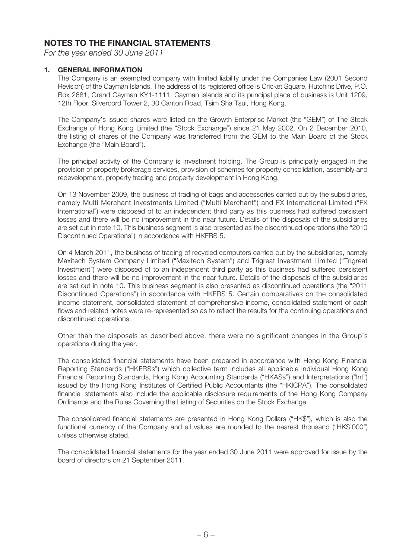# Notes to the financial statements

*For the year ended 30 June 2011*

### 1. General information

The Company is an exempted company with limited liability under the Companies Law (2001 Second Revision) of the Cayman Islands. The address of its registered office is Cricket Square, Hutchins Drive, P.O. Box 2681, Grand Cayman KY1-1111, Cayman Islands and its principal place of business is Unit 1209, 12th Floor, Silvercord Tower 2, 30 Canton Road, Tsim Sha Tsui, Hong Kong.

The Company's issued shares were listed on the Growth Enterprise Market (the "GEM") of The Stock Exchange of Hong Kong Limited (the "Stock Exchange") since 21 May 2002. On 2 December 2010, the listing of shares of the Company was transferred from the GEM to the Main Board of the Stock Exchange (the "Main Board").

The principal activity of the Company is investment holding. The Group is principally engaged in the provision of property brokerage services, provision of schemes for property consolidation, assembly and redevelopment, property trading and property development in Hong Kong.

On 13 November 2009, the business of trading of bags and accessories carried out by the subsidiaries, namely Multi Merchant Investments Limited ("Multi Merchant") and FX International Limited ("FX International") were disposed of to an independent third party as this business had suffered persistent losses and there will be no improvement in the near future. Details of the disposals of the subsidiaries are set out in note 10. This business segment is also presented as the discontinued operations (the "2010 Discontinued Operations") in accordance with HKFRS 5.

On 4 March 2011, the business of trading of recycled computers carried out by the subsidiaries, namely Maxitech System Company Limited ("Maxitech System") and Trigreat Investment Limited ("Trigreat Investment") were disposed of to an independent third party as this business had suffered persistent losses and there will be no improvement in the near future. Details of the disposals of the subsidiaries are set out in note 10. This business segment is also presented as discontinued operations (the "2011 Discontinued Operations") in accordance with HKFRS 5. Certain comparatives on the consolidated income statement, consolidated statement of comprehensive income, consolidated statement of cash flows and related notes were re-represented so as to reflect the results for the continuing operations and discontinued operations.

Other than the disposals as described above, there were no significant changes in the Group's operations during the year.

The consolidated financial statements have been prepared in accordance with Hong Kong Financial Reporting Standards ("HKFRSs") which collective term includes all applicable individual Hong Kong Financial Reporting Standards, Hong Kong Accounting Standards ("HKASs") and Interpretations ("Int") issued by the Hong Kong Institutes of Certified Public Accountants (the "HKICPA"). The consolidated financial statements also include the applicable disclosure requirements of the Hong Kong Company Ordinance and the Rules Governing the Listing of Securities on the Stock Exchange.

The consolidated financial statements are presented in Hong Kong Dollars ("HK\$"), which is also the functional currency of the Company and all values are rounded to the nearest thousand ("HK\$'000") unless otherwise stated.

The consolidated financial statements for the year ended 30 June 2011 were approved for issue by the board of directors on 21 September 2011.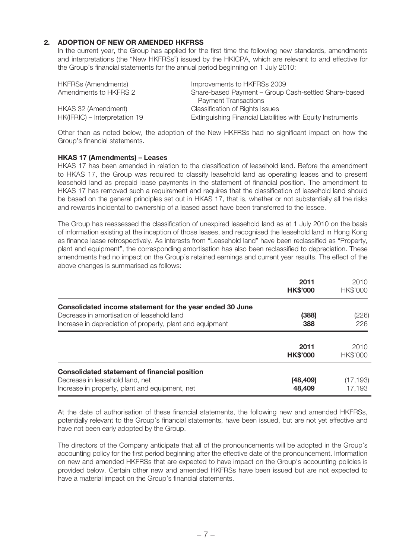### 2. ADOPTION OF NEW OR AMENDED HKFRSs

In the current year, the Group has applied for the first time the following new standards, amendments and interpretations (the "New HKFRSs") issued by the HKICPA, which are relevant to and effective for the Group's financial statements for the annual period beginning on 1 July 2010:

| <b>HKFRSs (Amendments)</b>    | Improvements to HKFRSs 2009                                 |
|-------------------------------|-------------------------------------------------------------|
| Amendments to HKFRS 2         | Share-based Payment - Group Cash-settled Share-based        |
|                               | <b>Payment Transactions</b>                                 |
| HKAS 32 (Amendment)           | Classification of Rights Issues                             |
| HK(IFRIC) – Interpretation 19 | Extinguishing Financial Liabilities with Equity Instruments |

Other than as noted below, the adoption of the New HKFRSs had no significant impact on how the Group's financial statements.

#### HKAS 17 (Amendments) – Leases

HKAS 17 has been amended in relation to the classification of leasehold land. Before the amendment to HKAS 17, the Group was required to classify leasehold land as operating leases and to present leasehold land as prepaid lease payments in the statement of financial position. The amendment to HKAS 17 has removed such a requirement and requires that the classification of leasehold land should be based on the general principles set out in HKAS 17, that is, whether or not substantially all the risks and rewards incidental to ownership of a leased asset have been transferred to the lessee.

The Group has reassessed the classification of unexpired leasehold land as at 1 July 2010 on the basis of information existing at the inception of those leases, and recognised the leasehold land in Hong Kong as finance lease retrospectively. As interests from "Leasehold land" have been reclassified as "Property, plant and equipment", the corresponding amortisation has also been reclassified to depreciation. These amendments had no impact on the Group's retained earnings and current year results. The effect of the above changes is summarised as follows:

|                                                                                                                                                                     | 2011<br><b>HK\$'000</b> | 2010<br>HK\$'000    |
|---------------------------------------------------------------------------------------------------------------------------------------------------------------------|-------------------------|---------------------|
| Consolidated income statement for the year ended 30 June<br>Decrease in amortisation of leasehold land<br>Increase in depreciation of property, plant and equipment | (388)<br>388            | (226)<br>226        |
|                                                                                                                                                                     | 2011<br><b>HK\$'000</b> | 2010<br>HK\$'000    |
| Consolidated statement of financial position<br>Decrease in leasehold land, net<br>Increase in property, plant and equipment, net                                   | (48, 409)<br>48.409     | (17, 193)<br>17.193 |

At the date of authorisation of these financial statements, the following new and amended HKFRSs, potentially relevant to the Group's financial statements, have been issued, but are not yet effective and have not been early adopted by the Group.

The directors of the Company anticipate that all of the pronouncements will be adopted in the Group's accounting policy for the first period beginning after the effective date of the pronouncement. Information on new and amended HKFRSs that are expected to have impact on the Group's accounting policies is provided below. Certain other new and amended HKFRSs have been issued but are not expected to have a material impact on the Group's financial statements.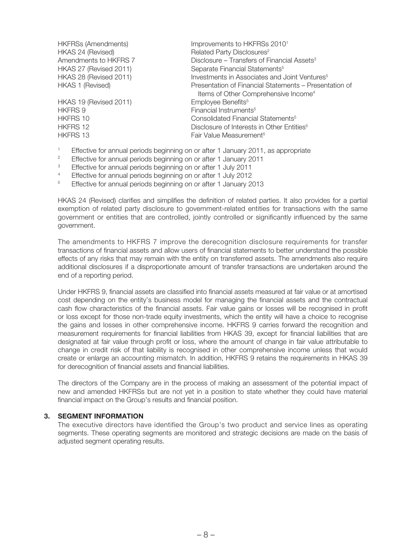| Improvements to HKFRSs 2010 <sup>1</sup>                  |
|-----------------------------------------------------------|
| Related Party Disclosures <sup>2</sup>                    |
| Disclosure – Transfers of Financial Assets <sup>3</sup>   |
| Separate Financial Statements <sup>5</sup>                |
| Investments in Associates and Joint Ventures <sup>5</sup> |
| Presentation of Financial Statements - Presentation of    |
| Items of Other Comprehensive Income <sup>4</sup>          |
| Employee Benefits <sup>5</sup>                            |
| Financial Instruments <sup>5</sup>                        |
| Consolidated Financial Statements <sup>5</sup>            |
| Disclosure of Interests in Other Entities <sup>5</sup>    |
| Fair Value Measurement <sup>5</sup>                       |
|                                                           |

- <sup>1</sup> Effective for annual periods beginning on or after 1 January 2011, as appropriate
- <sup>2</sup> Effective for annual periods beginning on or after 1 January 2011
- <sup>3</sup> Effective for annual periods beginning on or after 1 July 2011
- <sup>4</sup> Effective for annual periods beginning on or after 1 July 2012<br>Effective for annual periods beginning on or after 1 January 20
- <sup>5</sup> Effective for annual periods beginning on or after 1 January 2013

HKAS 24 (Revised) clarifies and simplifies the definition of related parties. It also provides for a partial exemption of related party disclosure to government-related entities for transactions with the same government or entities that are controlled, jointly controlled or significantly influenced by the same government.

The amendments to HKFRS 7 improve the derecognition disclosure requirements for transfer transactions of financial assets and allow users of financial statements to better understand the possible effects of any risks that may remain with the entity on transferred assets. The amendments also require additional disclosures if a disproportionate amount of transfer transactions are undertaken around the end of a reporting period.

Under HKFRS 9, financial assets are classified into financial assets measured at fair value or at amortised cost depending on the entity's business model for managing the financial assets and the contractual cash flow characteristics of the financial assets. Fair value gains or losses will be recognised in profit or loss except for those non-trade equity investments, which the entity will have a choice to recognise the gains and losses in other comprehensive income. HKFRS 9 carries forward the recognition and measurement requirements for financial liabilities from HKAS 39, except for financial liabilities that are designated at fair value through profit or loss, where the amount of change in fair value attributable to change in credit risk of that liability is recognised in other comprehensive income unless that would create or enlarge an accounting mismatch. In addition, HKFRS 9 retains the requirements in HKAS 39 for derecognition of financial assets and financial liabilities.

The directors of the Company are in the process of making an assessment of the potential impact of new and amended HKFRSs but are not yet in a position to state whether they could have material financial impact on the Group's results and financial position.

#### 3. Segment information

The executive directors have identified the Group's two product and service lines as operating segments. These operating segments are monitored and strategic decisions are made on the basis of adjusted segment operating results.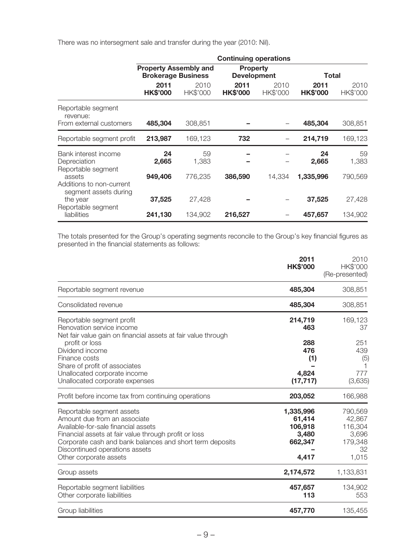There was no intersegment sale and transfer during the year (2010: Nil).

|                                                             |                                                           |                  | <b>Continuing operations</b>          |                  |                         |                  |  |
|-------------------------------------------------------------|-----------------------------------------------------------|------------------|---------------------------------------|------------------|-------------------------|------------------|--|
|                                                             | <b>Property Assembly and</b><br><b>Brokerage Business</b> |                  | <b>Property</b><br><b>Development</b> |                  | Total                   |                  |  |
|                                                             | 2011<br><b>HK\$'000</b>                                   | 2010<br>HK\$'000 | 2011<br><b>HK\$'000</b>               | 2010<br>HK\$'000 | 2011<br><b>HK\$'000</b> | 2010<br>HK\$'000 |  |
| Reportable segment<br>revenue:<br>From external customers   | 485,304                                                   | 308,851          |                                       |                  | 485,304                 | 308,851          |  |
| Reportable segment profit                                   | 213,987                                                   | 169,123          | 732                                   |                  | 214,719                 | 169,123          |  |
| Bank interest income<br>Depreciation<br>Reportable segment  | 24<br>2,665                                               | 59<br>1,383      |                                       |                  | 24<br>2,665             | 59<br>1,383      |  |
| assets<br>Additions to non-current<br>segment assets during | 949,406                                                   | 776,235          | 386,590                               | 14,334           | 1,335,996               | 790,569          |  |
| the year<br>Reportable segment                              | 37,525                                                    | 27,428           |                                       |                  | 37,525                  | 27,428           |  |
| liabilities                                                 | 241,130                                                   | 134,902          | 216,527                               |                  | 457,657                 | 134.902          |  |

The totals presented for the Group's operating segments reconcile to the Group's key financial figures as presented in the financial statements as follows:

|                                                                                                                                                                                                                                                                                   | 2011<br><b>HK\$'000</b>                                     | 2010<br>HK\$'000<br>(Re-presented)                              |
|-----------------------------------------------------------------------------------------------------------------------------------------------------------------------------------------------------------------------------------------------------------------------------------|-------------------------------------------------------------|-----------------------------------------------------------------|
| Reportable segment revenue                                                                                                                                                                                                                                                        | 485,304                                                     | 308,851                                                         |
| Consolidated revenue                                                                                                                                                                                                                                                              | 485,304                                                     | 308,851                                                         |
| Reportable segment profit<br>Renovation service income<br>Net fair value gain on financial assets at fair value through                                                                                                                                                           | 214,719<br>463                                              | 169,123<br>37                                                   |
| profit or loss<br>Dividend income<br>Finance costs<br>Share of profit of associates                                                                                                                                                                                               | 288<br>476<br>(1)                                           | 251<br>439<br>(5)                                               |
| Unallocated corporate income<br>Unallocated corporate expenses                                                                                                                                                                                                                    | 4,824<br>(17, 717)                                          | 777<br>(3,635)                                                  |
| Profit before income tax from continuing operations                                                                                                                                                                                                                               | 203,052                                                     | 166,988                                                         |
| Reportable segment assets<br>Amount due from an associate<br>Available-for-sale financial assets<br>Financial assets at fair value through profit or loss<br>Corporate cash and bank balances and short term deposits<br>Discontinued operations assets<br>Other corporate assets | 1,335,996<br>61,414<br>106,918<br>3,480<br>662,347<br>4,417 | 790,569<br>42,867<br>116,304<br>3,696<br>179,348<br>32<br>1,015 |
| Group assets                                                                                                                                                                                                                                                                      | 2,174,572                                                   | 1,133,831                                                       |
| Reportable segment liabilities<br>Other corporate liabilities                                                                                                                                                                                                                     | 457,657<br>113                                              | 134,902<br>553                                                  |
| Group liabilities                                                                                                                                                                                                                                                                 | 457,770                                                     | 135,455                                                         |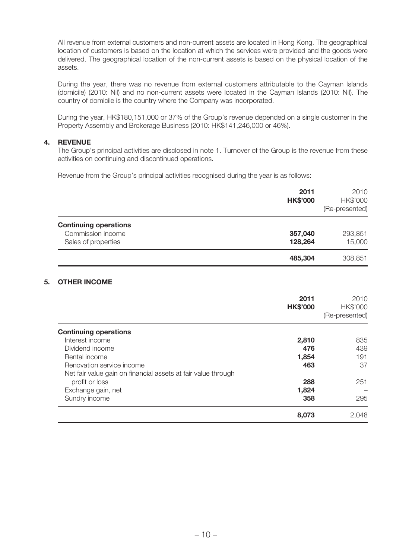All revenue from external customers and non-current assets are located in Hong Kong. The geographical location of customers is based on the location at which the services were provided and the goods were delivered. The geographical location of the non-current assets is based on the physical location of the assets.

During the year, there was no revenue from external customers attributable to the Cayman Islands (domicile) (2010: Nil) and no non-current assets were located in the Cayman Islands (2010: Nil). The country of domicile is the country where the Company was incorporated.

During the year, HK\$180,151,000 or 37% of the Group's revenue depended on a single customer in the Property Assembly and Brokerage Business (2010: HK\$141,246,000 or 46%).

### 4. Revenue

The Group's principal activities are disclosed in note 1. Turnover of the Group is the revenue from these activities on continuing and discontinued operations.

Revenue from the Group's principal activities recognised during the year is as follows:

|                              | 2011<br><b>HK\$'000</b> | 2010<br>HK\$'000<br>(Re-presented) |
|------------------------------|-------------------------|------------------------------------|
| <b>Continuing operations</b> |                         |                                    |
| Commission income            | 357,040                 | 293,851                            |
| Sales of properties          | 128,264                 | 15,000                             |
|                              | 485,304                 | 308,851                            |

#### 5. OTHER INCOME

|                                                               | 2011<br><b>HK\$'000</b> | 2010<br>HK\$'000<br>(Re-presented) |
|---------------------------------------------------------------|-------------------------|------------------------------------|
| <b>Continuing operations</b>                                  |                         |                                    |
| Interest income                                               | 2,810                   | 835                                |
| Dividend income                                               | 476                     | 439                                |
| Rental income                                                 | 1,854                   | 191                                |
| Renovation service income                                     | 463                     | 37                                 |
| Net fair value gain on financial assets at fair value through |                         |                                    |
| profit or loss                                                | 288                     | 251                                |
| Exchange gain, net                                            | 1,824                   |                                    |
| Sundry income                                                 | 358                     | 295                                |
|                                                               | 8,073                   | 2.048                              |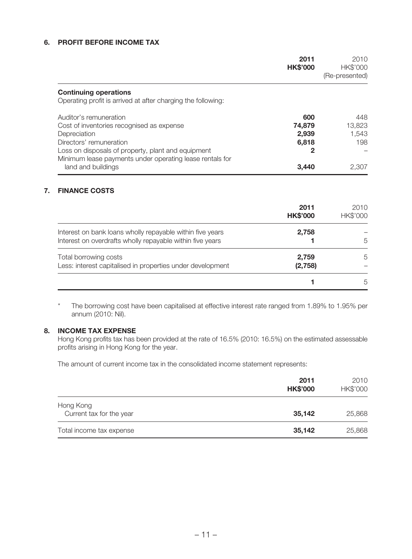### 6. PROFIT BEFORE INCOME TAX

|                                                              | 2011<br><b>HK\$'000</b> | 2010<br>HK\$'000<br>(Re-presented) |
|--------------------------------------------------------------|-------------------------|------------------------------------|
| <b>Continuing operations</b>                                 |                         |                                    |
| Operating profit is arrived at after charging the following: |                         |                                    |
| Auditor's remuneration                                       | 600                     | 448                                |
| Cost of inventories recognised as expense                    | 74,879                  | 13,823                             |
| Depreciation                                                 | 2,939                   | 1,543                              |
| Directors' remuneration                                      | 6.818                   | 198                                |
| Loss on disposals of property, plant and equipment           | 2                       |                                    |
| Minimum lease payments under operating lease rentals for     |                         |                                    |
| land and buildings                                           | 3.440                   | 2.307                              |

#### 7. Finance costs

|                                                                                                                        | 2011<br><b>HK\$'000</b> | 2010<br>HK\$'000 |
|------------------------------------------------------------------------------------------------------------------------|-------------------------|------------------|
| Interest on bank loans wholly repayable within five years<br>Interest on overdrafts wholly repayable within five years | 2,758                   | 5                |
| Total borrowing costs<br>Less: interest capitalised in properties under development                                    | 2,759<br>(2,758)        | 5                |
|                                                                                                                        |                         | 5                |

\* The borrowing cost have been capitalised at effective interest rate ranged from 1.89% to 1.95% per annum (2010: Nil).

### 8. Income tax expense

Hong Kong profits tax has been provided at the rate of 16.5% (2010: 16.5%) on the estimated assessable profits arising in Hong Kong for the year.

The amount of current income tax in the consolidated income statement represents:

|                                       | 2011<br><b>HK\$'000</b> | 2010<br>HK\$'000 |
|---------------------------------------|-------------------------|------------------|
| Hong Kong<br>Current tax for the year | 35,142                  | 25,868           |
| Total income tax expense              | 35,142                  | 25,868           |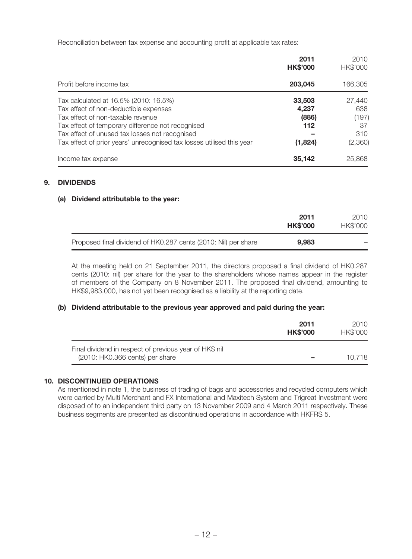Reconciliation between tax expense and accounting profit at applicable tax rates:

|                                                                                                                                                                                                                                                                                                     | 2011<br><b>HK\$'000</b>                    | 2010<br>HK\$'000                               |
|-----------------------------------------------------------------------------------------------------------------------------------------------------------------------------------------------------------------------------------------------------------------------------------------------------|--------------------------------------------|------------------------------------------------|
| Profit before income tax                                                                                                                                                                                                                                                                            | 203,045                                    | 166,305                                        |
| Tax calculated at 16.5% (2010: 16.5%)<br>Tax effect of non-deductible expenses<br>Tax effect of non-taxable revenue<br>Tax effect of temporary difference not recognised<br>Tax effect of unused tax losses not recognised<br>Tax effect of prior years' unrecognised tax losses utilised this year | 33,503<br>4,237<br>(886)<br>112<br>(1,824) | 27,440<br>638<br>(197)<br>37<br>310<br>(2,360) |
| Income tax expense                                                                                                                                                                                                                                                                                  | 35,142                                     | 25,868                                         |

#### 9. DIVIDENDS

#### (a) Dividend attributable to the year:

|                                                                | 2011<br><b>HK\$'000</b> | 2010<br>HK\$'000 |
|----------------------------------------------------------------|-------------------------|------------------|
| Proposed final dividend of HK0.287 cents (2010: Nil) per share | 9.983                   |                  |

At the meeting held on 21 September 2011, the directors proposed a final dividend of HK0.287 cents (2010: nil) per share for the year to the shareholders whose names appear in the register of members of the Company on 8 November 2011. The proposed final dividend, amounting to HK\$9,983,000, has not yet been recognised as a liability at the reporting date.

#### (b) Dividend attributable to the previous year approved and paid during the year:

|                                                                                           | 2011<br><b>HK\$'000</b> | 2010<br>HK\$'000 |
|-------------------------------------------------------------------------------------------|-------------------------|------------------|
| Final dividend in respect of previous year of HK\$ nil<br>(2010: HK0.366 cents) per share |                         | 10.718           |

#### 10. Discontinued operations

As mentioned in note 1, the business of trading of bags and accessories and recycled computers which were carried by Multi Merchant and FX International and Maxitech System and Trigreat Investment were disposed of to an independent third party on 13 November 2009 and 4 March 2011 respectively. These business segments are presented as discontinued operations in accordance with HKFRS 5.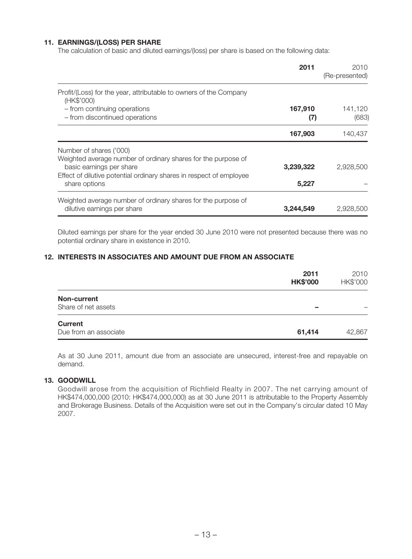#### 11. Earnings/(loss) per share

The calculation of basic and diluted earnings/(loss) per share is based on the following data:

| 2011           | 2010<br>(Re-presented) |
|----------------|------------------------|
|                |                        |
| 167,910<br>(7) | 141,120<br>(683)       |
| 167,903        | 140,437                |
|                |                        |
| 3,239,322      | 2,928,500              |
| 5,227          |                        |
|                | 2,928,500              |
|                | 3,244,549              |

Diluted earnings per share for the year ended 30 June 2010 were not presented because there was no potential ordinary share in existence in 2010.

### 12. INTERESTS IN ASSOCIATES AND AMOUNT DUE FROM AN ASSOCIATE

|                                         | 2011<br><b>HK\$'000</b> | 2010<br>HK\$'000 |
|-----------------------------------------|-------------------------|------------------|
| Non-current<br>Share of net assets      |                         |                  |
| <b>Current</b><br>Due from an associate | 61,414                  | 42,867           |

As at 30 June 2011, amount due from an associate are unsecured, interest-free and repayable on demand.

#### 13. Goodwill

Goodwill arose from the acquisition of Richfield Realty in 2007. The net carrying amount of HK\$474,000,000 (2010: HK\$474,000,000) as at 30 June 2011 is attributable to the Property Assembly and Brokerage Business. Details of the Acquisition were set out in the Company's circular dated 10 May 2007.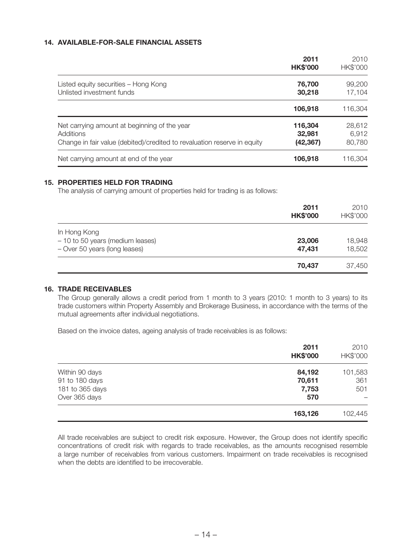#### 14. AVAILABLE-FOR-SALE FINANCIAL ASSETS

|                                                                                                                                              | 2011<br><b>HK\$'000</b>        | 2010<br>HK\$'000          |
|----------------------------------------------------------------------------------------------------------------------------------------------|--------------------------------|---------------------------|
| Listed equity securities - Hong Kong<br>Unlisted investment funds                                                                            | 76,700<br>30,218               | 99,200<br>17,104          |
|                                                                                                                                              | 106,918                        | 116,304                   |
| Net carrying amount at beginning of the year<br><b>Additions</b><br>Change in fair value (debited)/credited to revaluation reserve in equity | 116,304<br>32,981<br>(42, 367) | 28,612<br>6,912<br>80,780 |
| Net carrying amount at end of the year                                                                                                       | 106,918                        | 116.304                   |

#### 15. PROPERTIES HELD FOR TRADING

The analysis of carrying amount of properties held for trading is as follows:

|                                  | 2011<br><b>HK\$'000</b> | 2010<br>HK\$'000 |
|----------------------------------|-------------------------|------------------|
| In Hong Kong                     |                         |                  |
| - 10 to 50 years (medium leases) | 23,006                  | 18,948           |
| - Over 50 years (long leases)    | 47,431                  | 18,502           |
|                                  | 70,437                  | 37,450           |

#### 16. TRADE RECEIVABLES

The Group generally allows a credit period from 1 month to 3 years (2010: 1 month to 3 years) to its trade customers within Property Assembly and Brokerage Business, in accordance with the terms of the mutual agreements after individual negotiations.

Based on the invoice dates, ageing analysis of trade receivables is as follows:

|                 | 2011<br><b>HK\$'000</b> | 2010<br>HK\$'000 |
|-----------------|-------------------------|------------------|
| Within 90 days  | 84,192                  | 101,583          |
| 91 to 180 days  | 70,611                  | 361              |
| 181 to 365 days | 7,753                   | 501              |
| Over 365 days   | 570                     |                  |
|                 | 163,126                 | 102,445          |

All trade receivables are subject to credit risk exposure. However, the Group does not identify specific concentrations of credit risk with regards to trade receivables, as the amounts recognised resemble a large number of receivables from various customers. Impairment on trade receivables is recognised when the debts are identified to be irrecoverable.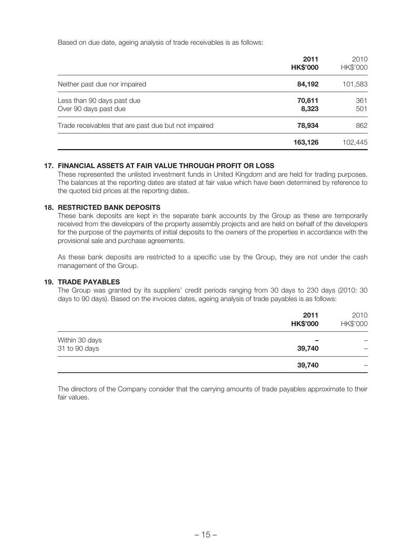Based on due date, ageing analysis of trade receivables is as follows:

|                                                      | 2011<br><b>HK\$'000</b> | 2010<br>HK\$'000 |
|------------------------------------------------------|-------------------------|------------------|
| Neither past due nor impaired                        | 84,192                  | 101,583          |
| Less than 90 days past due<br>Over 90 days past due  | 70,611<br>8,323         | 361<br>501       |
| Trade receivables that are past due but not impaired | 78,934                  | 862              |
|                                                      | 163,126                 | 102,445          |

#### 17. Financial assets at fair value through profit or loss

These represented the unlisted investment funds in United Kingdom and are held for trading purposes. The balances at the reporting dates are stated at fair value which have been determined by reference to the quoted bid prices at the reporting dates.

#### 18. Restricted bank deposits

These bank deposits are kept in the separate bank accounts by the Group as these are temporarily received from the developers of the property assembly projects and are held on behalf of the developers for the purpose of the payments of initial deposits to the owners of the properties in accordance with the provisional sale and purchase agreements.

As these bank deposits are restricted to a specific use by the Group, they are not under the cash management of the Group.

### 19. TRADE PAYABLES

The Group was granted by its suppliers' credit periods ranging from 30 days to 230 days (2010: 30 days to 90 days). Based on the invoices dates, ageing analysis of trade payables is as follows:

|                                                | 2011<br><b>HK\$'000</b> | 2010<br>HK\$'000 |
|------------------------------------------------|-------------------------|------------------|
| Within 30 days<br>-<br>31 to 90 days<br>39,740 | -                       |                  |
|                                                | 39,740                  |                  |

The directors of the Company consider that the carrying amounts of trade payables approximate to their fair values.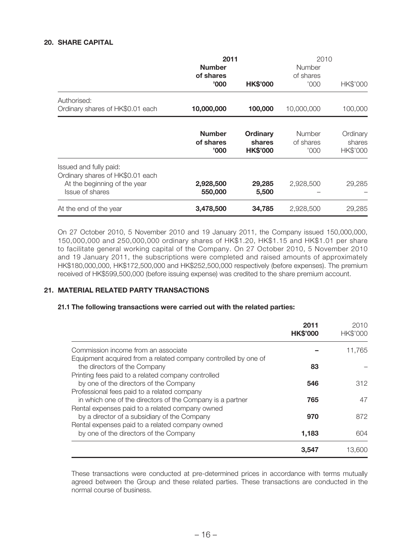#### 20. SHARE CAPITAL

|                                                                                                                      | 2011                                |                                              | 2010                               |                                |
|----------------------------------------------------------------------------------------------------------------------|-------------------------------------|----------------------------------------------|------------------------------------|--------------------------------|
|                                                                                                                      | <b>Number</b><br>of shares<br>'000' | <b>HK\$'000</b>                              | <b>Number</b><br>of shares<br>'000 | HK\$'000                       |
| Authorised:<br>Ordinary shares of HK\$0.01 each                                                                      | 10,000,000                          | 100,000                                      | 10,000,000                         | 100,000                        |
|                                                                                                                      | <b>Number</b><br>of shares<br>'000' | <b>Ordinary</b><br>shares<br><b>HK\$'000</b> | <b>Number</b><br>of shares<br>'000 | Ordinary<br>shares<br>HK\$'000 |
| Issued and fully paid:<br>Ordinary shares of HK\$0.01 each<br>At the beginning of the year<br><b>Issue of shares</b> | 2,928,500<br>550,000                | 29,285<br>5,500                              | 2,928,500                          | 29,285                         |
| At the end of the year                                                                                               | 3,478,500                           | 34,785                                       | 2,928,500                          | 29,285                         |

On 27 October 2010, 5 November 2010 and 19 January 2011, the Company issued 150,000,000, 150,000,000 and 250,000,000 ordinary shares of HK\$1.20, HK\$1.15 and HK\$1.01 per share to facilitate general working capital of the Company. On 27 October 2010, 5 November 2010 and 19 January 2011, the subscriptions were completed and raised amounts of approximately HK\$180,000,000, HK\$172,500,000 and HK\$252,500,000 respectively (before expenses). The premium received of HK\$599,500,000 (before issuing expense) was credited to the share premium account.

### 21. material related party transactions

#### 21.1 The following transactions were carried out with the related parties:

|                                                                | 2011<br><b>HK\$'000</b> | 2010<br>HK\$'000 |
|----------------------------------------------------------------|-------------------------|------------------|
| Commission income from an associate                            |                         | 11,765           |
| Equipment acquired from a related company controlled by one of |                         |                  |
| the directors of the Company                                   | 83                      |                  |
| Printing fees paid to a related company controlled             |                         |                  |
| by one of the directors of the Company                         | 546                     | 312              |
| Professional fees paid to a related company                    |                         |                  |
| in which one of the directors of the Company is a partner      | 765                     | 47               |
| Rental expenses paid to a related company owned                |                         |                  |
| by a director of a subsidiary of the Company                   | 970                     | 872              |
| Rental expenses paid to a related company owned                |                         |                  |
| by one of the directors of the Company                         | 1.183                   | 604              |
|                                                                | 3,547                   | 13.600           |

These transactions were conducted at pre-determined prices in accordance with terms mutually agreed between the Group and these related parties. These transactions are conducted in the normal course of business.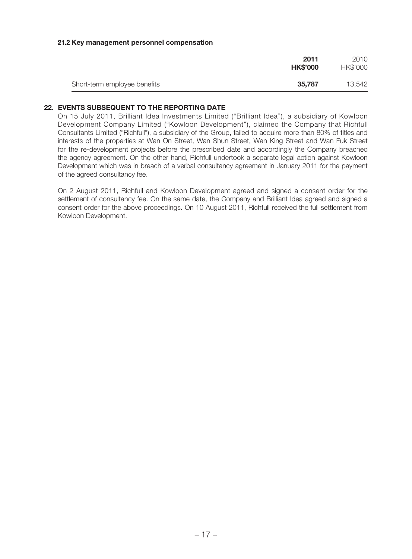#### 21.2 Key management personnel compensation

|                              | 2011<br><b>HK\$'000</b> | 2010<br>HK\$'000 |
|------------------------------|-------------------------|------------------|
| Short-term employee benefits | 35.787                  | 13.542           |

#### 22. Events subsequent to the reporting date

On 15 July 2011, Brilliant Idea Investments Limited ("Brilliant Idea"), a subsidiary of Kowloon Development Company Limited ("Kowloon Development"), claimed the Company that Richfull Consultants Limited ("Richfull"), a subsidiary of the Group, failed to acquire more than 80% of titles and interests of the properties at Wan On Street, Wan Shun Street, Wan King Street and Wan Fuk Street for the re-development projects before the prescribed date and accordingly the Company breached the agency agreement. On the other hand, Richfull undertook a separate legal action against Kowloon Development which was in breach of a verbal consultancy agreement in January 2011 for the payment of the agreed consultancy fee.

On 2 August 2011, Richfull and Kowloon Development agreed and signed a consent order for the settlement of consultancy fee. On the same date, the Company and Brilliant Idea agreed and signed a consent order for the above proceedings. On 10 August 2011, Richfull received the full settlement from Kowloon Development.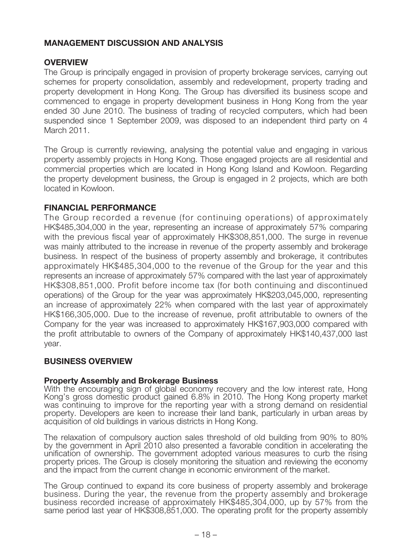# Management discussion and analysis

### **OVERVIEW**

The Group is principally engaged in provision of property brokerage services, carrying out schemes for property consolidation, assembly and redevelopment, property trading and property development in Hong Kong. The Group has diversified its business scope and commenced to engage in property development business in Hong Kong from the year ended 30 June 2010. The business of trading of recycled computers, which had been suspended since 1 September 2009, was disposed to an independent third party on 4 March 2011.

The Group is currently reviewing, analysing the potential value and engaging in various property assembly projects in Hong Kong. Those engaged projects are all residential and commercial properties which are located in Hong Kong Island and Kowloon. Regarding the property development business, the Group is engaged in 2 projects, which are both located in Kowloon.

### Financial performance

The Group recorded a revenue (for continuing operations) of approximately HK\$485,304,000 in the year, representing an increase of approximately 57% comparing with the previous fiscal year of approximately HK\$308,851,000. The surge in revenue was mainly attributed to the increase in revenue of the property assembly and brokerage business. In respect of the business of property assembly and brokerage, it contributes approximately HK\$485,304,000 to the revenue of the Group for the year and this represents an increase of approximately 57% compared with the last year of approximately HK\$308,851,000. Profit before income tax (for both continuing and discontinued operations) of the Group for the year was approximately HK\$203,045,000, representing an increase of approximately 22% when compared with the last year of approximately HK\$166,305,000. Due to the increase of revenue, profit attributable to owners of the Company for the year was increased to approximately HK\$167,903,000 compared with the profit attributable to owners of the Company of approximately HK\$140,437,000 last year.

### business overview

### Property Assembly and Brokerage Business

With the encouraging sign of global economy recovery and the low interest rate, Hong Kong's gross domestic product gained 6.8% in 2010. The Hong Kong property market was continuing to improve for the reporting year with a strong demand on residential property. Developers are keen to increase their land bank, particularly in urban areas by acquisition of old buildings in various districts in Hong Kong.

The relaxation of compulsory auction sales threshold of old building from 90% to 80% by the government in April 2010 also presented a favorable condition in accelerating the unification of ownership. The government adopted various measures to curb the rising property prices. The Group is closely monitoring the situation and reviewing the economy and the impact from the current change in economic environment of the market.

The Group continued to expand its core business of property assembly and brokerage business. During the year, the revenue from the property assembly and brokerage business recorded increase of approximately HK\$485,304,000, up by 57% from the same period last year of HK\$308,851,000. The operating profit for the property assembly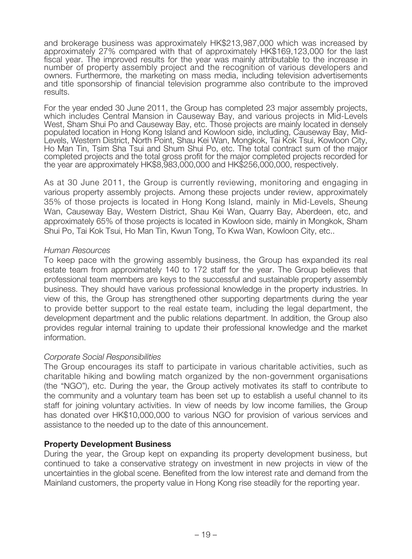and brokerage business was approximately HK\$213,987,000 which was increased by approximately 27% compared with that of approximately HK\$169,123,000 for the last fiscal year. The improved results for the year was mainly attributable to the increase in number of property assembly project and the recognition of various developers and owners. Furthermore, the marketing on mass media, including television advertisements and title sponsorship of financial television programme also contribute to the improved results.

For the year ended 30 June 2011, the Group has completed 23 major assembly projects, which includes Central Mansion in Causeway Bay, and various projects in Mid-Levels West, Sham Shui Po and Causeway Bay, etc. Those projects are mainly located in densely populated location in Hong Kong Island and Kowloon side, including, Causeway Bay, Mid-Levels, Western District, North Point, Shau Kei Wan, Mongkok, Tai Kok Tsui, Kowloon City, Ho Man Tin, Tsim Sha Tsui and Shum Shui Po, etc. The total contract sum of the major completed projects and the total gross profit for the major completed projects recorded for the year are approximately HK\$8,983,000,000 and HK\$256,000,000, respectively.

As at 30 June 2011, the Group is currently reviewing, monitoring and engaging in various property assembly projects. Among these projects under review, approximately 35% of those projects is located in Hong Kong Island, mainly in Mid-Levels, Sheung Wan, Causeway Bay, Western District, Shau Kei Wan, Quarry Bay, Aberdeen, etc, and approximately 65% of those projects is located in Kowloon side, mainly in Mongkok, Sham Shui Po, Tai Kok Tsui, Ho Man Tin, Kwun Tong, To Kwa Wan, Kowloon City, etc..

### *Human Resources*

To keep pace with the growing assembly business, the Group has expanded its real estate team from approximately 140 to 172 staff for the year. The Group believes that professional team members are keys to the successful and sustainable property assembly business. They should have various professional knowledge in the property industries. In view of this, the Group has strengthened other supporting departments during the year to provide better support to the real estate team, including the legal department, the development department and the public relations department. In addition, the Group also provides regular internal training to update their professional knowledge and the market information.

### *Corporate Social Responsibilities*

The Group encourages its staff to participate in various charitable activities, such as charitable hiking and bowling match organized by the non-government organisations (the "NGO"), etc. During the year, the Group actively motivates its staff to contribute to the community and a voluntary team has been set up to establish a useful channel to its staff for joining voluntary activities. In view of needs by low income families, the Group has donated over HK\$10,000,000 to various NGO for provision of various services and assistance to the needed up to the date of this announcement.

### Property Development Business

During the year, the Group kept on expanding its property development business, but continued to take a conservative strategy on investment in new projects in view of the uncertainties in the global scene. Benefited from the low interest rate and demand from the Mainland customers, the property value in Hong Kong rise steadily for the reporting year.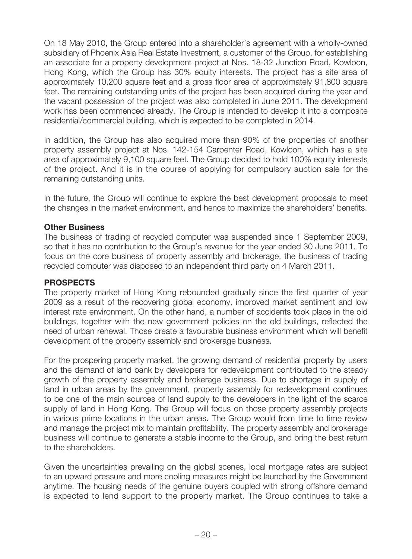On 18 May 2010, the Group entered into a shareholder's agreement with a wholly-owned subsidiary of Phoenix Asia Real Estate Investment, a customer of the Group, for establishing an associate for a property development project at Nos. 18-32 Junction Road, Kowloon, Hong Kong, which the Group has 30% equity interests. The project has a site area of approximately 10,200 square feet and a gross floor area of approximately 91,800 square feet. The remaining outstanding units of the project has been acquired during the year and the vacant possession of the project was also completed in June 2011. The development work has been commenced already. The Group is intended to develop it into a composite residential/commercial building, which is expected to be completed in 2014.

In addition, the Group has also acquired more than 90% of the properties of another property assembly project at Nos. 142-154 Carpenter Road, Kowloon, which has a site area of approximately 9,100 square feet. The Group decided to hold 100% equity interests of the project. And it is in the course of applying for compulsory auction sale for the remaining outstanding units.

In the future, the Group will continue to explore the best development proposals to meet the changes in the market environment, and hence to maximize the shareholders' benefits.

### Other Business

The business of trading of recycled computer was suspended since 1 September 2009, so that it has no contribution to the Group's revenue for the year ended 30 June 2011. To focus on the core business of property assembly and brokerage, the business of trading recycled computer was disposed to an independent third party on 4 March 2011.

### **PROSPECTS**

The property market of Hong Kong rebounded gradually since the first quarter of year 2009 as a result of the recovering global economy, improved market sentiment and low interest rate environment. On the other hand, a number of accidents took place in the old buildings, together with the new government policies on the old buildings, reflected the need of urban renewal. Those create a favourable business environment which will benefit development of the property assembly and brokerage business.

For the prospering property market, the growing demand of residential property by users and the demand of land bank by developers for redevelopment contributed to the steady growth of the property assembly and brokerage business. Due to shortage in supply of land in urban areas by the government, property assembly for redevelopment continues to be one of the main sources of land supply to the developers in the light of the scarce supply of land in Hong Kong. The Group will focus on those property assembly projects in various prime locations in the urban areas. The Group would from time to time review and manage the project mix to maintain profitability. The property assembly and brokerage business will continue to generate a stable income to the Group, and bring the best return to the shareholders.

Given the uncertainties prevailing on the global scenes, local mortgage rates are subject to an upward pressure and more cooling measures might be launched by the Government anytime. The housing needs of the genuine buyers coupled with strong offshore demand is expected to lend support to the property market. The Group continues to take a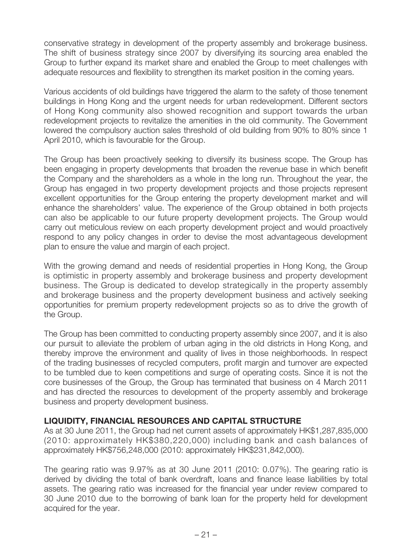conservative strategy in development of the property assembly and brokerage business. The shift of business strategy since 2007 by diversifying its sourcing area enabled the Group to further expand its market share and enabled the Group to meet challenges with adequate resources and flexibility to strengthen its market position in the coming years.

Various accidents of old buildings have triggered the alarm to the safety of those tenement buildings in Hong Kong and the urgent needs for urban redevelopment. Different sectors of Hong Kong community also showed recognition and support towards the urban redevelopment projects to revitalize the amenities in the old community. The Government lowered the compulsory auction sales threshold of old building from 90% to 80% since 1 April 2010, which is favourable for the Group.

The Group has been proactively seeking to diversify its business scope. The Group has been engaging in property developments that broaden the revenue base in which benefit the Company and the shareholders as a whole in the long run. Throughout the year, the Group has engaged in two property development projects and those projects represent excellent opportunities for the Group entering the property development market and will enhance the shareholders' value. The experience of the Group obtained in both projects can also be applicable to our future property development projects. The Group would carry out meticulous review on each property development project and would proactively respond to any policy changes in order to devise the most advantageous development plan to ensure the value and margin of each project.

With the growing demand and needs of residential properties in Hong Kong, the Group is optimistic in property assembly and brokerage business and property development business. The Group is dedicated to develop strategically in the property assembly and brokerage business and the property development business and actively seeking opportunities for premium property redevelopment projects so as to drive the growth of the Group.

The Group has been committed to conducting property assembly since 2007, and it is also our pursuit to alleviate the problem of urban aging in the old districts in Hong Kong, and thereby improve the environment and quality of lives in those neighborhoods. In respect of the trading businesses of recycled computers, profit margin and turnover are expected to be tumbled due to keen competitions and surge of operating costs. Since it is not the core businesses of the Group, the Group has terminated that business on 4 March 2011 and has directed the resources to development of the property assembly and brokerage business and property development business.

### liquidity, financial resources and capital structure

As at 30 June 2011, the Group had net current assets of approximately HK\$1,287,835,000 (2010: approximately HK\$380,220,000) including bank and cash balances of approximately HK\$756,248,000 (2010: approximately HK\$231,842,000).

The gearing ratio was 9.97% as at 30 June 2011 (2010: 0.07%). The gearing ratio is derived by dividing the total of bank overdraft, loans and finance lease liabilities by total assets. The gearing ratio was increased for the financial year under review compared to 30 June 2010 due to the borrowing of bank loan for the property held for development acquired for the year.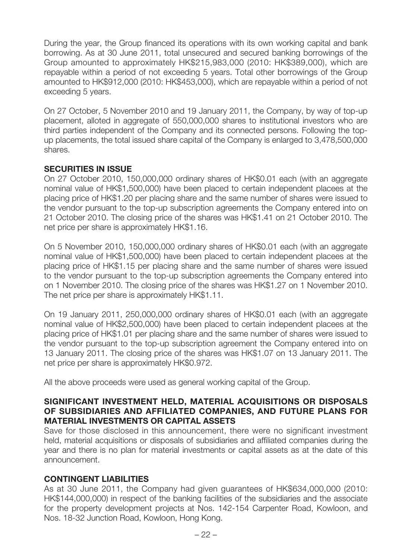During the year, the Group financed its operations with its own working capital and bank borrowing. As at 30 June 2011, total unsecured and secured banking borrowings of the Group amounted to approximately HK\$215,983,000 (2010: HK\$389,000), which are repayable within a period of not exceeding 5 years. Total other borrowings of the Group amounted to HK\$912,000 (2010: HK\$453,000), which are repayable within a period of not exceeding 5 years.

On 27 October, 5 November 2010 and 19 January 2011, the Company, by way of top-up placement, alloted in aggregate of 550,000,000 shares to institutional investors who are third parties independent of the Company and its connected persons. Following the topup placements, the total issued share capital of the Company is enlarged to 3,478,500,000 shares.

### SECURITIES IN ISSUE

On 27 October 2010, 150,000,000 ordinary shares of HK\$0.01 each (with an aggregate nominal value of HK\$1,500,000) have been placed to certain independent placees at the placing price of HK\$1.20 per placing share and the same number of shares were issued to the vendor pursuant to the top-up subscription agreements the Company entered into on 21 October 2010. The closing price of the shares was HK\$1.41 on 21 October 2010. The net price per share is approximately HK\$1.16.

On 5 November 2010, 150,000,000 ordinary shares of HK\$0.01 each (with an aggregate nominal value of HK\$1,500,000) have been placed to certain independent placees at the placing price of HK\$1.15 per placing share and the same number of shares were issued to the vendor pursuant to the top-up subscription agreements the Company entered into on 1 November 2010. The closing price of the shares was HK\$1.27 on 1 November 2010. The net price per share is approximately HK\$1.11.

On 19 January 2011, 250,000,000 ordinary shares of HK\$0.01 each (with an aggregate nominal value of HK\$2,500,000) have been placed to certain independent placees at the placing price of HK\$1.01 per placing share and the same number of shares were issued to the vendor pursuant to the top-up subscription agreement the Company entered into on 13 January 2011. The closing price of the shares was HK\$1.07 on 13 January 2011. The net price per share is approximately HK\$0.972.

All the above proceeds were used as general working capital of the Group.

### Significant investment held, material acquisitions or disposals of subsidiaries and affiliated companies, and future plans for material investments or capital assets

Save for those disclosed in this announcement, there were no significant investment held, material acquisitions or disposals of subsidiaries and affiliated companies during the year and there is no plan for material investments or capital assets as at the date of this announcement.

# contingent liabilities

As at 30 June 2011, the Company had given guarantees of HK\$634,000,000 (2010: HK\$144,000,000) in respect of the banking facilities of the subsidiaries and the associate for the property development projects at Nos. 142-154 Carpenter Road, Kowloon, and Nos. 18-32 Junction Road, Kowloon, Hong Kong.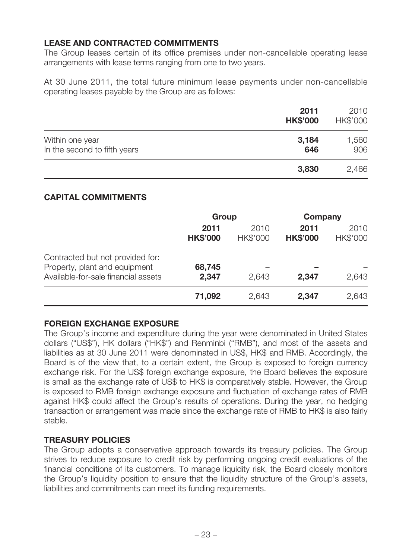# lease and contracted commitments

The Group leases certain of its office premises under non-cancellable operating lease arrangements with lease terms ranging from one to two years.

At 30 June 2011, the total future minimum lease payments under non-cancellable operating leases payable by the Group are as follows:

|                                                 | 2011<br><b>HK\$'000</b> | 2010<br>HK\$'000 |
|-------------------------------------------------|-------------------------|------------------|
| Within one year<br>In the second to fifth years | 3,184<br>646            | 1,560<br>906     |
|                                                 | 3,830                   | 2,466            |

# Capital commitments

|                                                                                                          | Group                   |                  | <b>Company</b>          |                  |
|----------------------------------------------------------------------------------------------------------|-------------------------|------------------|-------------------------|------------------|
|                                                                                                          | 2011<br><b>HK\$'000</b> | 2010<br>HK\$'000 | 2011<br><b>HK\$'000</b> | 2010<br>HK\$'000 |
| Contracted but not provided for:<br>Property, plant and equipment<br>Available-for-sale financial assets | 68,745<br>2,347         | 2,643            | 2,347                   | 2,643            |
|                                                                                                          | 71,092                  | 2,643            | 2,347                   | 2,643            |

### Foreign exchange exposure

The Group's income and expenditure during the year were denominated in United States dollars ("US\$"), HK dollars ("HK\$") and Renminbi ("RMB"), and most of the assets and liabilities as at 30 June 2011 were denominated in US\$, HK\$ and RMB. Accordingly, the Board is of the view that, to a certain extent, the Group is exposed to foreign currency exchange risk. For the US\$ foreign exchange exposure, the Board believes the exposure is small as the exchange rate of US\$ to HK\$ is comparatively stable. However, the Group is exposed to RMB foreign exchange exposure and fluctuation of exchange rates of RMB against HK\$ could affect the Group's results of operations. During the year, no hedging transaction or arrangement was made since the exchange rate of RMB to HK\$ is also fairly stable.

# treasury policies

The Group adopts a conservative approach towards its treasury policies. The Group strives to reduce exposure to credit risk by performing ongoing credit evaluations of the financial conditions of its customers. To manage liquidity risk, the Board closely monitors the Group's liquidity position to ensure that the liquidity structure of the Group's assets, liabilities and commitments can meet its funding requirements.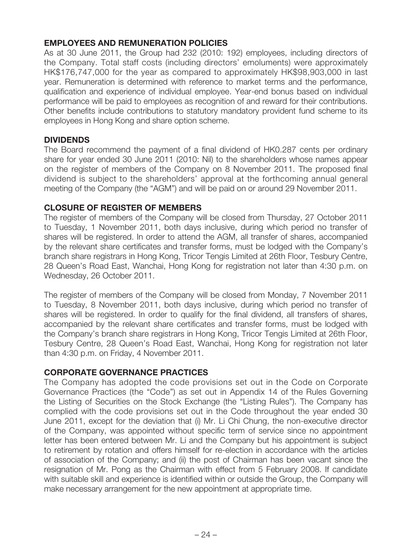# employees and remuneration policies

As at 30 June 2011, the Group had 232 (2010: 192) employees, including directors of the Company. Total staff costs (including directors' emoluments) were approximately HK\$176,747,000 for the year as compared to approximately HK\$98,903,000 in last year. Remuneration is determined with reference to market terms and the performance, qualification and experience of individual employee. Year-end bonus based on individual performance will be paid to employees as recognition of and reward for their contributions. Other benefits include contributions to statutory mandatory provident fund scheme to its employees in Hong Kong and share option scheme.

### **DIVIDENDS**

The Board recommend the payment of a final dividend of HK0.287 cents per ordinary share for year ended 30 June 2011 (2010: Nil) to the shareholders whose names appear on the register of members of the Company on 8 November 2011. The proposed final dividend is subject to the shareholders' approval at the forthcoming annual general meeting of the Company (the "AGM") and will be paid on or around 29 November 2011.

### closure of register of members

The register of members of the Company will be closed from Thursday, 27 October 2011 to Tuesday, 1 November 2011, both days inclusive, during which period no transfer of shares will be registered. In order to attend the AGM, all transfer of shares, accompanied by the relevant share certificates and transfer forms, must be lodged with the Company's branch share registrars in Hong Kong, Tricor Tengis Limited at 26th Floor, Tesbury Centre, 28 Queen's Road East, Wanchai, Hong Kong for registration not later than 4:30 p.m. on Wednesday, 26 October 2011.

The register of members of the Company will be closed from Monday, 7 November 2011 to Tuesday, 8 November 2011, both days inclusive, during which period no transfer of shares will be registered. In order to qualify for the final dividend, all transfers of shares, accompanied by the relevant share certificates and transfer forms, must be lodged with the Company's branch share registrars in Hong Kong, Tricor Tengis Limited at 26th Floor, Tesbury Centre, 28 Queen's Road East, Wanchai, Hong Kong for registration not later than 4:30 p.m. on Friday, 4 November 2011.

# corporate governance practices

The Company has adopted the code provisions set out in the Code on Corporate Governance Practices (the "Code") as set out in Appendix 14 of the Rules Governing the Listing of Securities on the Stock Exchange (the "Listing Rules"). The Company has complied with the code provisions set out in the Code throughout the year ended 30 June 2011, except for the deviation that (i) Mr. Li Chi Chung, the non-executive director of the Company, was appointed without specific term of service since no appointment letter has been entered between Mr. Li and the Company but his appointment is subject to retirement by rotation and offers himself for re-election in accordance with the articles of association of the Company; and (ii) the post of Chairman has been vacant since the resignation of Mr. Pong as the Chairman with effect from 5 February 2008. If candidate with suitable skill and experience is identified within or outside the Group, the Company will make necessary arrangement for the new appointment at appropriate time.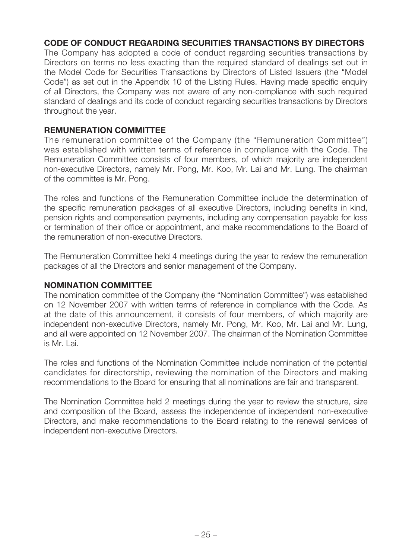# CODE OF CONDUCT REGARDING SECURITIES TRANSACTIONS BY DIRECTORS

The Company has adopted a code of conduct regarding securities transactions by Directors on terms no less exacting than the required standard of dealings set out in the Model Code for Securities Transactions by Directors of Listed Issuers (the "Model Code") as set out in the Appendix 10 of the Listing Rules. Having made specific enquiry of all Directors, the Company was not aware of any non-compliance with such required standard of dealings and its code of conduct regarding securities transactions by Directors throughout the year.

### remuneration committee

The remuneration committee of the Company (the "Remuneration Committee") was established with written terms of reference in compliance with the Code. The Remuneration Committee consists of four members, of which majority are independent non-executive Directors, namely Mr. Pong, Mr. Koo, Mr. Lai and Mr. Lung. The chairman of the committee is Mr. Pong.

The roles and functions of the Remuneration Committee include the determination of the specific remuneration packages of all executive Directors, including benefits in kind, pension rights and compensation payments, including any compensation payable for loss or termination of their office or appointment, and make recommendations to the Board of the remuneration of non-executive Directors.

The Remuneration Committee held 4 meetings during the year to review the remuneration packages of all the Directors and senior management of the Company.

# nomination committee

The nomination committee of the Company (the "Nomination Committee") was established on 12 November 2007 with written terms of reference in compliance with the Code. As at the date of this announcement, it consists of four members, of which majority are independent non-executive Directors, namely Mr. Pong, Mr. Koo, Mr. Lai and Mr. Lung, and all were appointed on 12 November 2007. The chairman of the Nomination Committee is Mr. Lai.

The roles and functions of the Nomination Committee include nomination of the potential candidates for directorship, reviewing the nomination of the Directors and making recommendations to the Board for ensuring that all nominations are fair and transparent.

The Nomination Committee held 2 meetings during the year to review the structure, size and composition of the Board, assess the independence of independent non-executive Directors, and make recommendations to the Board relating to the renewal services of independent non-executive Directors.